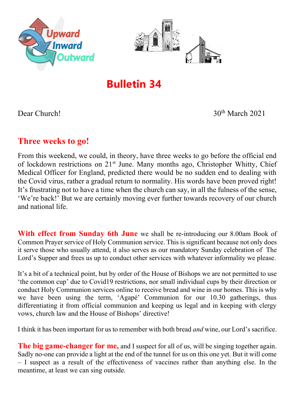



# **Bulletin 34**

Dear Church! 30<sup>th</sup> March 2021

## **Three weeks to go!**

From this weekend, we could, in theory, have three weeks to go before the official end of lockdown restrictions on  $21^{st}$  June. Many months ago, Christopher Whitty, Chief Medical Officer for England, predicted there would be no sudden end to dealing with the Covid virus, rather a gradual return to normality. His words have been proved right! It's frustrating not to have a time when the church can say, in all the fulness of the sense, 'We're back!' But we are certainly moving ever further towards recovery of our church and national life.

**With effect from Sunday 6th June** we shall be re-introducing our 8.00am Book of Common Prayer service of Holy Communion service. This is significant because not only does it serve those who usually attend, it also serves as our mandatory Sunday celebration of The Lord's Supper and frees us up to conduct other services with whatever informality we please.

It's a bit of a technical point, but by order of the House of Bishops we are not permitted to use 'the common cup' due to Covid19 restrictions, nor small individual cups by their direction or conduct Holy Communion services online to receive bread and wine in our homes. This is why we have been using the term, 'Agapé' Communion for our 10.30 gatherings, thus differentiating it from official communion and keeping us legal and in keeping with clergy vows, church law and the House of Bishops' directive!

I think it has been important for us to remember with both bread *and* wine, our Lord's sacrifice.

**The big game-changer for me,** and I suspect for all of us, will be singing together again. Sadly no-one can provide a light at the end of the tunnel for us on this one yet. But it will come – I suspect as a result of the effectiveness of vaccines rather than anything else. In the meantime, at least we can sing outside.